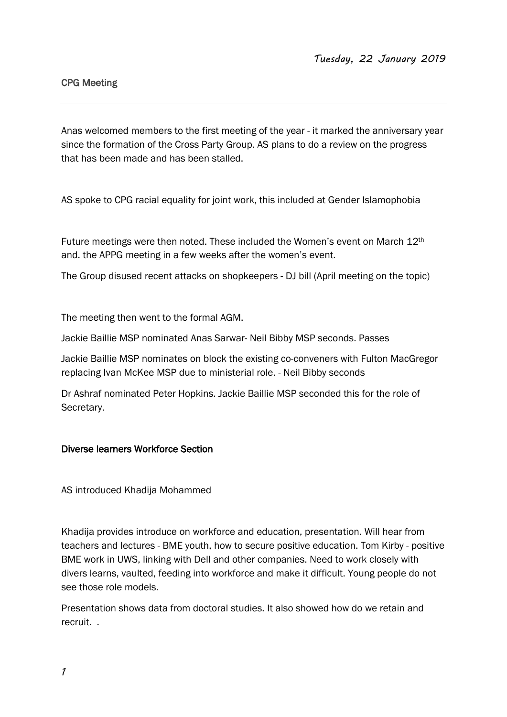## CPG Meeting

Anas welcomed members to the first meeting of the year - it marked the anniversary year since the formation of the Cross Party Group. AS plans to do a review on the progress that has been made and has been stalled.

AS spoke to CPG racial equality for joint work, this included at Gender Islamophobia

Future meetings were then noted. These included the Women's event on March 12th and. the APPG meeting in a few weeks after the women's event.

The Group disused recent attacks on shopkeepers - DJ bill (April meeting on the topic)

The meeting then went to the formal AGM.

Jackie Baillie MSP nominated Anas Sarwar- Neil Bibby MSP seconds. Passes

Jackie Baillie MSP nominates on block the existing co-conveners with Fulton MacGregor replacing Ivan McKee MSP due to ministerial role. - Neil Bibby seconds

Dr Ashraf nominated Peter Hopkins. Jackie Baillie MSP seconded this for the role of Secretary.

## Diverse learners Workforce Section

AS introduced Khadija Mohammed

Khadija provides introduce on workforce and education, presentation. Will hear from teachers and lectures - BME youth, how to secure positive education. Tom Kirby - positive BME work in UWS, linking with Dell and other companies. Need to work closely with divers learns, vaulted, feeding into workforce and make it difficult. Young people do not see those role models.

Presentation shows data from doctoral studies. It also showed how do we retain and recruit